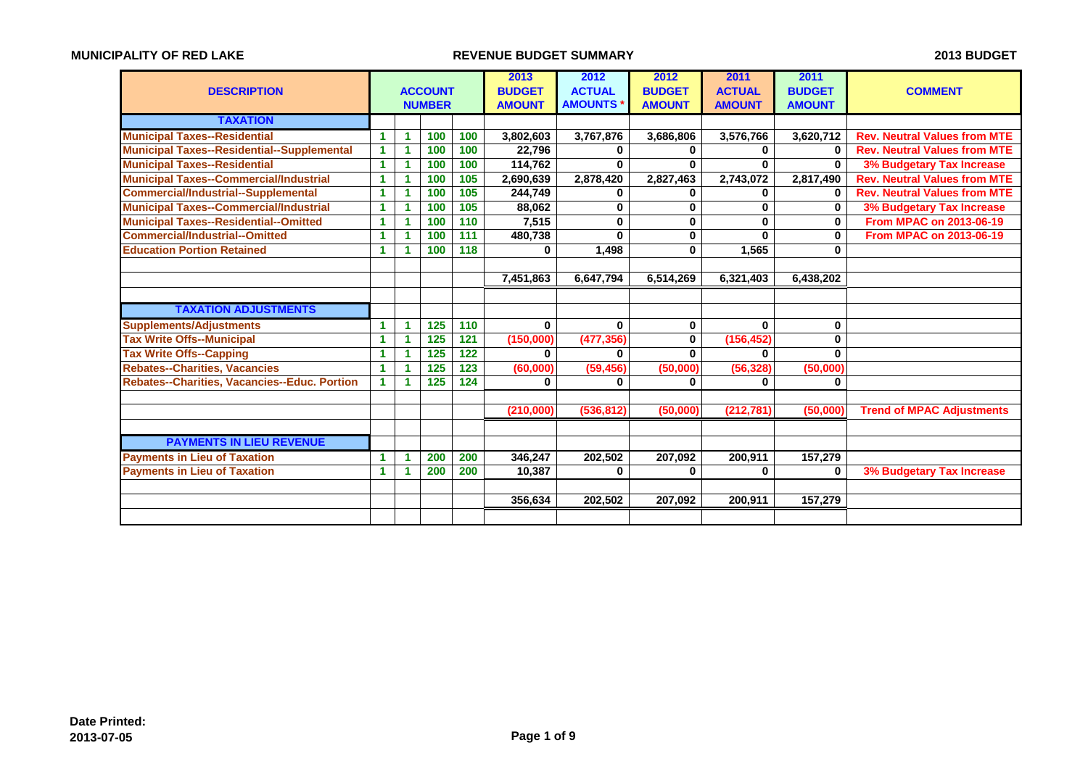| <b>DESCRIPTION</b>                                |                      |   | <b>ACCOUNT</b><br><b>NUMBER</b> |     | 2013<br><b>BUDGET</b><br><b>AMOUNT</b> | 2012<br><b>ACTUAL</b><br><b>AMOUNTS</b> | 2012<br><b>BUDGET</b><br><b>AMOUNT</b> | 2011<br><b>ACTUAL</b><br><b>AMOUNT</b> | 2011<br><b>BUDGET</b><br><b>AMOUNT</b> | <b>COMMENT</b>                      |
|---------------------------------------------------|----------------------|---|---------------------------------|-----|----------------------------------------|-----------------------------------------|----------------------------------------|----------------------------------------|----------------------------------------|-------------------------------------|
| <b>TAXATION</b>                                   |                      |   |                                 |     |                                        |                                         |                                        |                                        |                                        |                                     |
| <b>Municipal Taxes--Residential</b>               | 1                    | 1 | 100                             | 100 | 3,802,603                              | 3,767,876                               | 3,686,806                              | 3,576,766                              | 3,620,712                              | <b>Rev. Neutral Values from MTE</b> |
| <b>Municipal Taxes--Residential--Supplemental</b> | -1                   |   | 100                             | 100 | 22.796                                 | 0                                       | 0                                      | 0                                      | 0                                      | <b>Rev. Neutral Values from MTE</b> |
| <b>Municipal Taxes--Residential</b>               | -1                   | 1 | 100                             | 100 | 114,762                                | $\bf{0}$                                | $\bf{0}$                               | $\bf{0}$                               | $\bf{0}$                               | <b>3% Budgetary Tax Increase</b>    |
| <b>Municipal Taxes--Commercial/Industrial</b>     | 1                    |   | 100                             | 105 | 2,690,639                              | 2,878,420                               | 2,827,463                              | 2,743,072                              | 2,817,490                              | <b>Rev. Neutral Values from MTE</b> |
| <b>Commercial/Industrial--Supplemental</b>        | -1                   | 1 | 100                             | 105 | 244.749                                | 0                                       | 0                                      | 0                                      | $\bf{0}$                               | <b>Rev. Neutral Values from MTE</b> |
| <b>Municipal Taxes--Commercial/Industrial</b>     | 1                    | 1 | 100                             | 105 | 88,062                                 | $\bf{0}$                                | 0                                      | 0                                      | 0                                      | 3% Budgetary Tax Increase           |
| <b>Municipal Taxes--Residential--Omitted</b>      |                      |   | 100                             | 110 | 7,515                                  | $\bf{0}$                                | 0                                      | $\mathbf 0$                            | $\bf{0}$                               | <b>From MPAC on 2013-06-19</b>      |
| <b>Commercial/Industrial--Omitted</b>             | -1                   |   | 100                             | 111 | 480,738                                | $\bf{0}$                                | 0                                      | $\bf{0}$                               | $\bf{0}$                               | <b>From MPAC on 2013-06-19</b>      |
| <b>Education Portion Retained</b>                 | -1                   | 1 | 100                             | 118 | 0                                      | 1,498                                   | 0                                      | 1,565                                  | 0                                      |                                     |
|                                                   |                      |   |                                 |     |                                        |                                         |                                        |                                        |                                        |                                     |
|                                                   |                      |   |                                 |     | 7,451,863                              | 6,647,794                               | 6,514,269                              | 6,321,403                              | 6,438,202                              |                                     |
|                                                   |                      |   |                                 |     |                                        |                                         |                                        |                                        |                                        |                                     |
| <b>TAXATION ADJUSTMENTS</b>                       |                      |   |                                 |     |                                        |                                         |                                        |                                        |                                        |                                     |
| <b>Supplements/Adjustments</b>                    |                      | 1 | 125                             | 110 | 0                                      | $\bf{0}$                                | 0                                      | 0                                      | 0                                      |                                     |
| <b>Tax Write Offs--Municipal</b>                  |                      | 1 | 125                             | 121 | (150,000)                              | (477, 356)                              | 0                                      | (156, 452)                             | 0                                      |                                     |
| <b>Tax Write Offs--Capping</b>                    |                      | 1 | 125                             | 122 | $\bf{0}$                               | $\bf{0}$                                | 0                                      | $\bf{0}$                               | $\bf{0}$                               |                                     |
| <b>Rebates--Charities, Vacancies</b>              | -1                   |   | 125                             | 123 | (60,000)                               | (59, 456)                               | (50,000)                               | (56, 328)                              | (50,000)                               |                                     |
| Rebates--Charities, Vacancies--Educ. Portion      | $\blacktriangleleft$ | 1 | 125                             | 124 | 0                                      | 0                                       | 0                                      | 0                                      | 0                                      |                                     |
|                                                   |                      |   |                                 |     |                                        |                                         |                                        |                                        |                                        |                                     |
|                                                   |                      |   |                                 |     | (210,000)                              | (536, 812)                              | (50,000)                               | (212, 781)                             | (50,000)                               | <b>Trend of MPAC Adjustments</b>    |
|                                                   |                      |   |                                 |     |                                        |                                         |                                        |                                        |                                        |                                     |
| <b>PAYMENTS IN LIEU REVENUE</b>                   |                      |   |                                 |     |                                        |                                         |                                        |                                        |                                        |                                     |
| <b>Payments in Lieu of Taxation</b>               |                      | 1 | 200                             | 200 | 346,247                                | 202,502                                 | 207,092                                | 200,911                                | 157,279                                |                                     |
| <b>Payments in Lieu of Taxation</b>               | 1                    |   | 200                             | 200 | 10,387                                 | $\bf{0}$                                | $\bf{0}$                               | $\bf{0}$                               | $\bf{0}$                               | <b>3% Budgetary Tax Increase</b>    |
|                                                   |                      |   |                                 |     |                                        |                                         |                                        |                                        |                                        |                                     |
|                                                   |                      |   |                                 |     | 356,634                                | 202,502                                 | 207,092                                | 200,911                                | 157,279                                |                                     |
|                                                   |                      |   |                                 |     |                                        |                                         |                                        |                                        |                                        |                                     |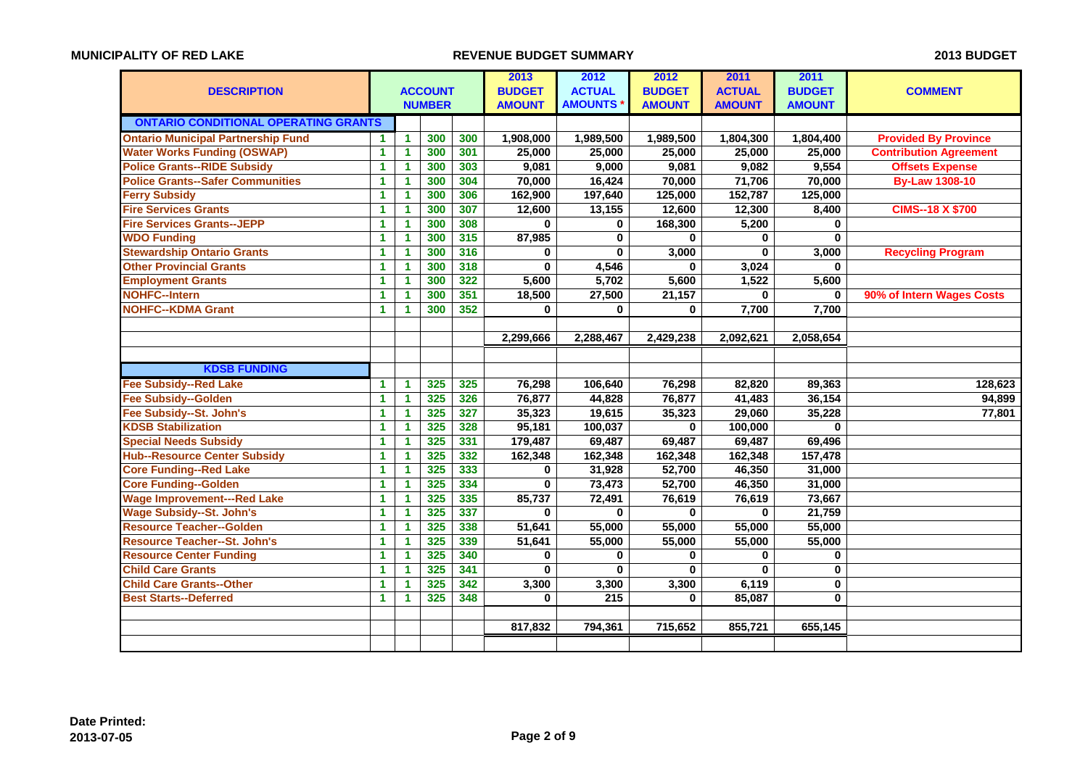|                                             |              |                      |                |     | 2013          | 2012             | 2012          | 2011          | 2011          |                               |
|---------------------------------------------|--------------|----------------------|----------------|-----|---------------|------------------|---------------|---------------|---------------|-------------------------------|
| <b>DESCRIPTION</b>                          |              |                      | <b>ACCOUNT</b> |     | <b>BUDGET</b> | <b>ACTUAL</b>    | <b>BUDGET</b> | <b>ACTUAL</b> | <b>BUDGET</b> | <b>COMMENT</b>                |
|                                             |              |                      | <b>NUMBER</b>  |     | <b>AMOUNT</b> | <b>AMOUNTS</b>   | <b>AMOUNT</b> | <b>AMOUNT</b> | <b>AMOUNT</b> |                               |
| <b>ONTARIO CONDITIONAL OPERATING GRANTS</b> |              |                      |                |     |               |                  |               |               |               |                               |
| <b>Ontario Municipal Partnership Fund</b>   | 1.           | $\mathbf{1}$         | 300            | 300 | 1,908,000     | 1,989,500        | 1,989,500     | 1,804,300     | 1,804,400     | <b>Provided By Province</b>   |
| <b>Water Works Funding (OSWAP)</b>          | $\mathbf{1}$ | $\mathbf{1}$         | 300            | 301 | 25,000        | 25,000           | 25,000        | 25,000        | 25,000        | <b>Contribution Agreement</b> |
| <b>Police Grants--RIDE Subsidy</b>          | $\mathbf{1}$ | $\mathbf{1}$         | 300            | 303 | 9,081         | 9,000            | 9,081         | 9,082         | 9,554         | <b>Offsets Expense</b>        |
| <b>Police Grants--Safer Communities</b>     | $\mathbf{1}$ | $\mathbf{1}$         | 300            | 304 | 70,000        | 16,424           | 70,000        | 71,706        | 70,000        | <b>By-Law 1308-10</b>         |
| <b>Ferry Subsidy</b>                        | $\mathbf{1}$ | 1                    | 300            | 306 | 162,900       | 197,640          | 125,000       | 152,787       | 125,000       |                               |
| <b>Fire Services Grants</b>                 | $\mathbf 1$  | 1                    | 300            | 307 | 12,600        | 13,155           | 12,600        | 12,300        | 8,400         | <b>CIMS--18 X \$700</b>       |
| <b>Fire Services Grants--JEPP</b>           | 1            | $\mathbf{1}$         | 300            | 308 | $\bf{0}$      | $\bf{0}$         | 168,300       | 5,200         | 0             |                               |
| <b>WDO Funding</b>                          | $\mathbf{1}$ | $\blacktriangleleft$ | 300            | 315 | 87,985        | $\mathbf 0$      | $\bf{0}$      | $\bf{0}$      | $\bf{0}$      |                               |
| <b>Stewardship Ontario Grants</b>           | $\mathbf{1}$ | $\mathbf{1}$         | 300            | 316 | 0             | $\bf{0}$         | 3,000         | $\mathbf{0}$  | 3,000         | <b>Recycling Program</b>      |
| <b>Other Provincial Grants</b>              | 1            | $\mathbf{1}$         | 300            | 318 | $\bf{0}$      | 4,546            | $\bf{0}$      | 3,024         | $\bf{0}$      |                               |
| <b>Employment Grants</b>                    | 1.           | 1.                   | 300            | 322 | 5,600         | 5,702            | 5,600         | 1,522         | 5,600         |                               |
| <b>NOHFC--Intern</b>                        | $\mathbf{1}$ | 1                    | 300            | 351 | 18,500        | 27,500           | 21,157        | 0             | $\bf{0}$      | 90% of Intern Wages Costs     |
| <b>NOHFC--KDMA Grant</b>                    | 1.           | 1                    | 300            | 352 | 0             | $\bf{0}$         | 0             | 7,700         | 7,700         |                               |
|                                             |              |                      |                |     |               |                  |               |               |               |                               |
|                                             |              |                      |                |     | 2,299,666     | 2,288,467        | 2,429,238     | 2,092,621     | 2,058,654     |                               |
|                                             |              |                      |                |     |               |                  |               |               |               |                               |
| <b>KDSB FUNDING</b>                         |              |                      |                |     |               |                  |               |               |               |                               |
| <b>Fee Subsidy--Red Lake</b>                | $\mathbf{1}$ | $\mathbf{1}$         | 325            | 325 | 76,298        | 106,640          | 76,298        | 82,820        | 89,363        | 128,623                       |
| <b>Fee Subsidy--Golden</b>                  | 1            | $\mathbf{1}$         | 325            | 326 | 76,877        | 44,828           | 76,877        | 41,483        | 36,154        | 94,899                        |
| Fee Subsidy--St. John's                     | 1            | 1                    | 325            | 327 | 35,323        | 19,615           | 35,323        | 29,060        | 35,228        | 77,801                        |
| <b>KDSB Stabilization</b>                   | $\mathbf{1}$ | $\blacktriangleleft$ | 325            | 328 | 95,181        | 100,037          | $\bf{0}$      | 100,000       | $\bf{0}$      |                               |
| <b>Special Needs Subsidy</b>                | 1            | $\mathbf{1}$         | 325            | 331 | 179,487       | 69,487           | 69,487        | 69,487        | 69,496        |                               |
| <b>Hub--Resource Center Subsidy</b>         | $\mathbf 1$  | $\blacktriangleleft$ | 325            | 332 | 162,348       | 162,348          | 162,348       | 162,348       | 157,478       |                               |
| <b>Core Funding--Red Lake</b>               | $\mathbf{1}$ | 1                    | 325            | 333 | 0             | 31,928           | 52,700        | 46,350        | 31,000        |                               |
| <b>Core Funding--Golden</b>                 | $\mathbf{1}$ | $\mathbf{1}$         | 325            | 334 | $\bf{0}$      | 73,473           | 52,700        | 46,350        | 31,000        |                               |
| <b>Wage Improvement---Red Lake</b>          | $\mathbf{1}$ | 1                    | 325            | 335 | 85,737        | 72,491           | 76,619        | 76,619        | 73,667        |                               |
| <b>Wage Subsidy--St. John's</b>             | $\mathbf{1}$ | 1                    | 325            | 337 | $\mathbf{0}$  | $\mathbf 0$      | 0             | $\mathbf{0}$  | 21,759        |                               |
| <b>Resource Teacher--Golden</b>             | 1            | $\mathbf{1}$         | 325            | 338 | 51,641        | 55,000           | 55,000        | 55,000        | 55,000        |                               |
| <b>Resource Teacher--St. John's</b>         | $\mathbf{1}$ | $\mathbf{1}$         | 325            | 339 | 51,641        | 55,000           | 55,000        | 55,000        | 55,000        |                               |
| <b>Resource Center Funding</b>              | $\mathbf{1}$ | $\mathbf{1}$         | 325            | 340 | 0             | $\bf{0}$         | 0             | $\bf{0}$      | $\bf{0}$      |                               |
| <b>Child Care Grants</b>                    | 1            | $\mathbf{1}$         | 325            | 341 | $\bf{0}$      | $\bf{0}$         | $\bf{0}$      | $\bf{0}$      | 0             |                               |
| <b>Child Care Grants--Other</b>             | $\mathbf{1}$ | 1                    | 325            | 342 | 3,300         | 3,300            | 3,300         | 6,119         | 0             |                               |
| <b>Best Starts--Deferred</b>                | $\mathbf{1}$ | 1                    | 325            | 348 | $\bf{0}$      | $\overline{215}$ | $\bf{0}$      | 85,087        | $\bf{0}$      |                               |
|                                             |              |                      |                |     |               |                  |               |               |               |                               |
|                                             |              |                      |                |     | 817,832       | 794,361          | 715,652       | 855,721       | 655,145       |                               |
|                                             |              |                      |                |     |               |                  |               |               |               |                               |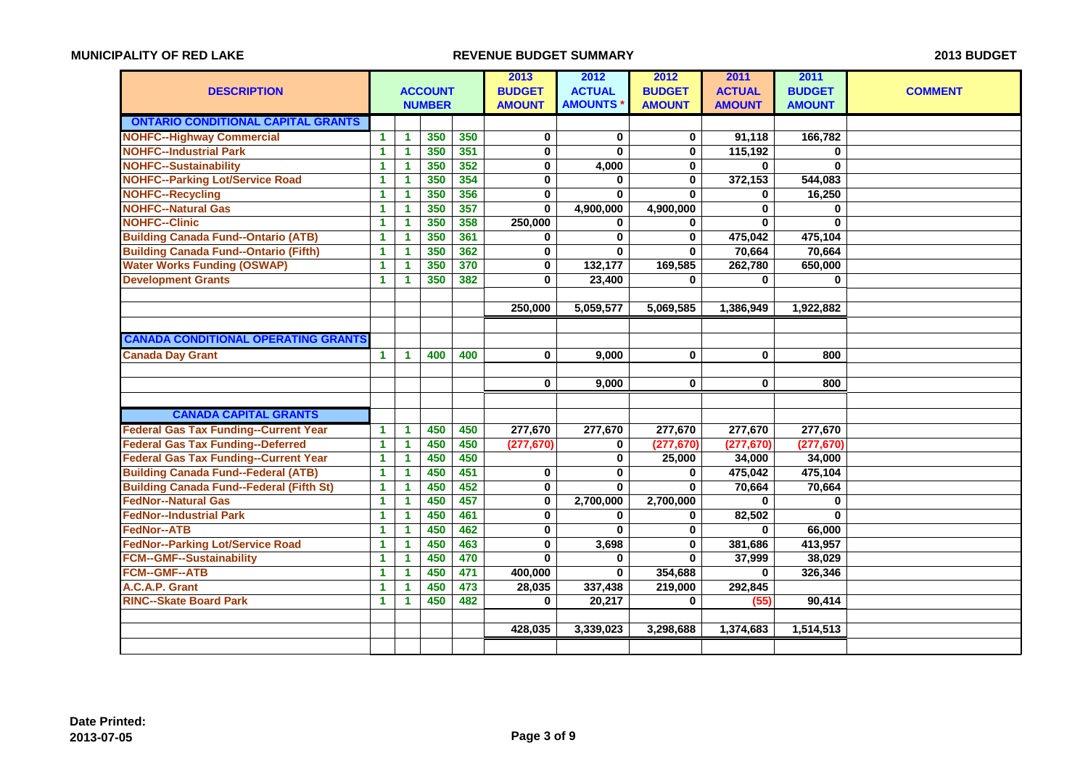| <b>DESCRIPTION</b>                              |              |                      | <b>ACCOUNT</b><br><b>NUMBER</b> |     | 2013<br><b>BUDGET</b><br><b>AMOUNT</b> | 2012<br><b>ACTUAL</b><br><b>AMOUNTS</b> | 2012<br><b>BUDGET</b><br><b>AMOUNT</b> | 2011<br><b>ACTUAL</b><br><b>AMOUNT</b> | 2011<br><b>BUDGET</b><br><b>AMOUNT</b> | <b>COMMENT</b> |
|-------------------------------------------------|--------------|----------------------|---------------------------------|-----|----------------------------------------|-----------------------------------------|----------------------------------------|----------------------------------------|----------------------------------------|----------------|
| <b>ONTARIO CONDITIONAL CAPITAL GRANTS</b>       |              |                      |                                 |     |                                        |                                         |                                        |                                        |                                        |                |
| <b>NOHFC--Highway Commercial</b>                | $\mathbf{1}$ | $\mathbf{1}$         | 350                             | 350 | $\pmb{0}$                              | $\mathbf 0$                             | 0                                      | 91,118                                 | 166,782                                |                |
| <b>NOHFC--Industrial Park</b>                   | $\mathbf{1}$ | $\mathbf{1}$         | 350                             | 351 | $\mathbf 0$                            | $\bf{0}$                                | 0                                      | 115,192                                | 0                                      |                |
| <b>NOHFC--Sustainability</b>                    | 1            | $\mathbf{1}$         | 350                             | 352 | 0                                      | 4,000                                   | 0                                      | 0                                      | $\bf{0}$                               |                |
| <b>NOHFC--Parking Lot/Service Road</b>          | 1            | 1                    | 350                             | 354 | 0                                      | 0                                       | 0                                      | 372,153                                | 544,083                                |                |
| <b>NOHFC--Recycling</b>                         | $\mathbf{1}$ | $\blacktriangleleft$ | 350                             | 356 | 0                                      | $\mathbf 0$                             | 0                                      | 0                                      | 16,250                                 |                |
| <b>NOHFC--Natural Gas</b>                       | 1.           | 1                    | 350                             | 357 | $\bf{0}$                               | 4,900,000                               | 4,900,000                              | $\bf{0}$                               | 0                                      |                |
| <b>NOHFC--Clinic</b>                            | 1            | 1                    | 350                             | 358 | 250,000                                | $\bf{0}$                                | 0                                      | 0                                      | $\bf{0}$                               |                |
| <b>Building Canada Fund--Ontario (ATB)</b>      | 1.           | 1                    | 350                             | 361 | 0                                      | $\mathbf 0$                             | $\bf{0}$                               | 475,042                                | 475,104                                |                |
| <b>Building Canada Fund--Ontario (Fifth)</b>    | $\mathbf{1}$ | $\mathbf{1}$         | 350                             | 362 | 0                                      | $\bf{0}$                                | $\bf{0}$                               | 70,664                                 | 70,664                                 |                |
| <b>Water Works Funding (OSWAP)</b>              | $\mathbf{1}$ | 1                    | 350                             | 370 | 0                                      | 132,177                                 | 169,585                                | 262,780                                | 650,000                                |                |
| <b>Development Grants</b>                       | $\mathbf{1}$ | 1                    | 350                             | 382 | $\bf{0}$                               | 23,400                                  | $\bf{0}$                               | 0                                      | $\bf{0}$                               |                |
|                                                 |              |                      |                                 |     |                                        |                                         |                                        |                                        |                                        |                |
|                                                 |              |                      |                                 |     | 250.000                                | 5,059,577                               | 5,069,585                              | 1,386,949                              | 1,922,882                              |                |
|                                                 |              |                      |                                 |     |                                        |                                         |                                        |                                        |                                        |                |
| <b>CANADA CONDITIONAL OPERATING GRANTS</b>      |              |                      |                                 |     |                                        |                                         |                                        |                                        |                                        |                |
| <b>Canada Day Grant</b>                         | $\mathbf{1}$ | $\mathbf{1}$         | 400                             | 400 | $\mathbf{0}$                           | 9,000                                   | $\bf{0}$                               | $\bf{0}$                               | 800                                    |                |
|                                                 |              |                      |                                 |     |                                        |                                         |                                        |                                        |                                        |                |
|                                                 |              |                      |                                 |     | 0                                      | 9,000                                   | 0                                      | 0                                      | 800                                    |                |
|                                                 |              |                      |                                 |     |                                        |                                         |                                        |                                        |                                        |                |
| <b>CANADA CAPITAL GRANTS</b>                    |              |                      |                                 |     |                                        |                                         |                                        |                                        |                                        |                |
| <b>Federal Gas Tax Funding--Current Year</b>    | 1.           | $\mathbf 1$          | 450                             | 450 | 277,670                                | 277,670                                 | 277,670                                | 277,670                                | 277,670                                |                |
| <b>Federal Gas Tax Funding--Deferred</b>        | 1.           | $\blacktriangleleft$ | 450                             | 450 | (277, 670)                             | 0                                       | (277, 670)                             | (277, 670)                             | (277, 670)                             |                |
| <b>Federal Gas Tax Funding--Current Year</b>    | 1            | $\mathbf{1}$         | 450                             | 450 |                                        | $\bf{0}$                                | 25,000                                 | 34,000                                 | 34,000                                 |                |
| <b>Building Canada Fund--Federal (ATB)</b>      | $\mathbf{1}$ | $\mathbf{1}$         | 450                             | 451 | 0                                      | $\bf{0}$                                | 0                                      | 475,042                                | 475,104                                |                |
| <b>Building Canada Fund--Federal (Fifth St)</b> | $\mathbf{1}$ | $\mathbf{1}$         | 450                             | 452 | 0                                      | $\bf{0}$                                | $\bf{0}$                               | 70,664                                 | 70,664                                 |                |
| <b>FedNor--Natural Gas</b>                      | 1            | $\mathbf{1}$         | 450                             | 457 | $\bf{0}$                               | 2,700,000                               | 2,700,000                              | 0                                      | 0                                      |                |
| <b>FedNor--Industrial Park</b>                  | $\mathbf{1}$ | 1                    | 450                             | 461 | 0                                      | 0                                       | 0                                      | 82,502                                 | 0                                      |                |
| <b>FedNor--ATB</b>                              | $\mathbf{1}$ | 1                    | 450                             | 462 | 0                                      | $\bf{0}$                                | 0                                      | 0                                      | 66,000                                 |                |
| <b>FedNor--Parking Lot/Service Road</b>         | 1.           | $\mathbf{1}$         | 450                             | 463 | 0                                      | 3,698                                   | 0                                      | 381,686                                | 413,957                                |                |
| <b>FCM--GMF--Sustainability</b>                 | $\mathbf{1}$ | $\blacktriangleleft$ | 450                             | 470 | $\mathbf{0}$                           | $\mathbf{0}$                            | $\bf{0}$                               | 37,999                                 | 38,029                                 |                |
| <b>FCM--GMF--ATB</b>                            | $\mathbf{1}$ | $\mathbf{1}$         | 450                             | 471 | 400,000                                | $\bf{0}$                                | 354,688                                | $\bf{0}$                               | 326,346                                |                |
| A.C.A.P. Grant                                  | $\mathbf{1}$ | $\mathbf{1}$         | 450                             | 473 | 28,035                                 | 337,438                                 | 219,000                                | 292,845                                |                                        |                |
| <b>RINC--Skate Board Park</b>                   | $\mathbf{1}$ | 1                    | 450                             | 482 | 0                                      | 20,217                                  | 0                                      | (55)                                   | 90,414                                 |                |
|                                                 |              |                      |                                 |     |                                        |                                         |                                        |                                        |                                        |                |
|                                                 |              |                      |                                 |     | 428,035                                | 3,339,023                               | 3,298,688                              | 1,374,683                              | 1,514,513                              |                |
|                                                 |              |                      |                                 |     |                                        |                                         |                                        |                                        |                                        |                |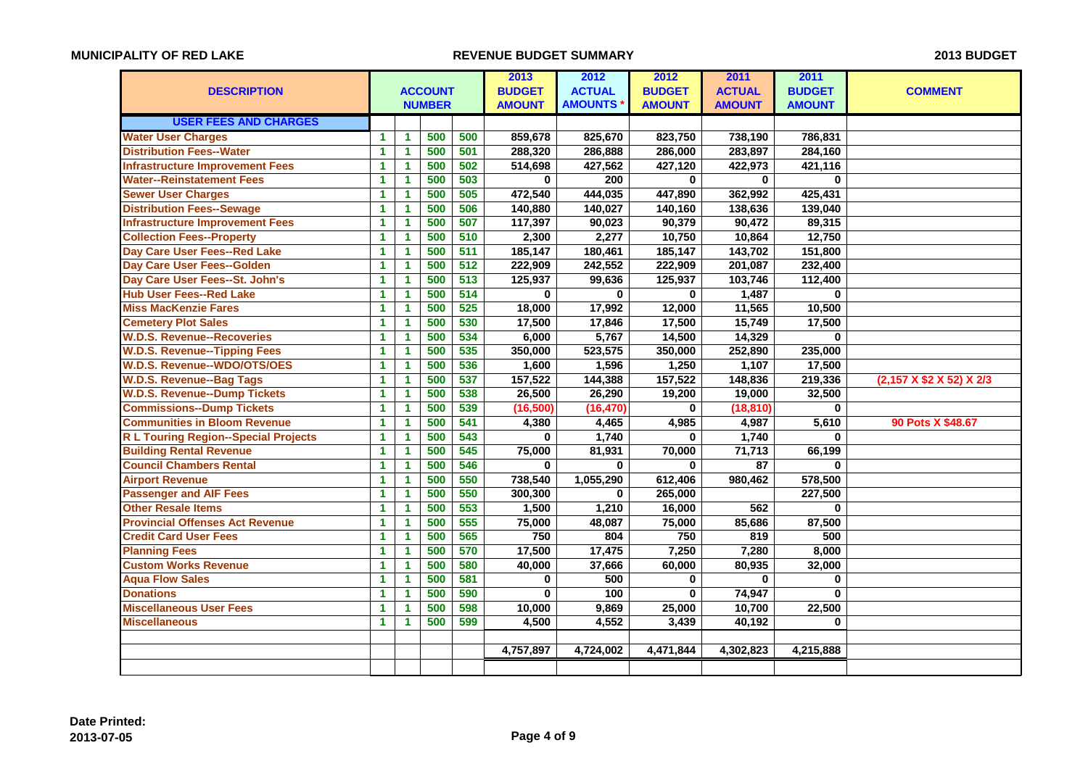|                                             |                      |              |                |     | 2013          | 2012           | 2012          | 2011          | 2011          |                          |
|---------------------------------------------|----------------------|--------------|----------------|-----|---------------|----------------|---------------|---------------|---------------|--------------------------|
| <b>DESCRIPTION</b>                          |                      |              | <b>ACCOUNT</b> |     | <b>BUDGET</b> | <b>ACTUAL</b>  | <b>BUDGET</b> | <b>ACTUAL</b> | <b>BUDGET</b> | <b>COMMENT</b>           |
|                                             |                      |              | <b>NUMBER</b>  |     | <b>AMOUNT</b> | <b>AMOUNTS</b> | <b>AMOUNT</b> | <b>AMOUNT</b> | <b>AMOUNT</b> |                          |
| <b>USER FEES AND CHARGES</b>                |                      |              |                |     |               |                |               |               |               |                          |
| <b>Water User Charges</b>                   | 1                    | 1            | 500            | 500 | 859,678       | 825,670        | 823,750       | 738,190       | 786,831       |                          |
| <b>Distribution Fees--Water</b>             | 1                    | $\mathbf{1}$ | 500            | 501 | 288,320       | 286,888        | 286,000       | 283,897       | 284,160       |                          |
| <b>Infrastructure Improvement Fees</b>      | $\mathbf{1}$         | $\mathbf{1}$ | 500            | 502 | 514,698       | 427,562        | 427,120       | 422,973       | 421,116       |                          |
| <b>Water--Reinstatement Fees</b>            | 1                    | $\mathbf{1}$ | 500            | 503 | 0             | 200            | $\bf{0}$      | $\bf{0}$      | $\mathbf{0}$  |                          |
| <b>Sewer User Charges</b>                   | $\mathbf{1}$         | $\mathbf{1}$ | 500            | 505 | 472,540       | 444,035        | 447,890       | 362,992       | 425,431       |                          |
| <b>Distribution Fees--Sewage</b>            | 1                    | 1            | 500            | 506 | 140,880       | 140,027        | 140,160       | 138,636       | 139,040       |                          |
| <b>Infrastructure Improvement Fees</b>      | 1                    | $\mathbf{1}$ | 500            | 507 | 117,397       | 90,023         | 90,379        | 90,472        | 89,315        |                          |
| <b>Collection Fees--Property</b>            | $\mathbf{1}$         | $\mathbf{1}$ | 500            | 510 | 2,300         | 2,277          | 10,750        | 10,864        | 12,750        |                          |
| Day Care User Fees--Red Lake                | 1                    | $\mathbf{1}$ | 500            | 511 | 185,147       | 180,461        | 185,147       | 143,702       | 151,800       |                          |
| Day Care User Fees--Golden                  | $\mathbf{1}$         | 1            | 500            | 512 | 222,909       | 242,552        | 222,909       | 201,087       | 232,400       |                          |
| Day Care User Fees--St. John's              | $\mathbf{1}$         | $\mathbf{1}$ | 500            | 513 | 125,937       | 99,636         | 125,937       | 103,746       | 112,400       |                          |
| <b>Hub User Fees--Red Lake</b>              | $\mathbf{1}$         | $\mathbf{1}$ | 500            | 514 | 0             | $\bf{0}$       | $\bf{0}$      | 1,487         | $\bf{0}$      |                          |
| <b>Miss MacKenzie Fares</b>                 | $\blacktriangleleft$ | $\mathbf{1}$ | 500            | 525 | 18,000        | 17,992         | 12,000        | 11,565        | 10,500        |                          |
| <b>Cemetery Plot Sales</b>                  | 1                    | 1            | 500            | 530 | 17,500        | 17,846         | 17,500        | 15,749        | 17,500        |                          |
| <b>W.D.S. Revenue--Recoveries</b>           | $\mathbf{1}$         | $\mathbf{1}$ | 500            | 534 | 6,000         | 5,767          | 14,500        | 14,329        | $\mathbf{0}$  |                          |
| <b>W.D.S. Revenue--Tipping Fees</b>         | $\mathbf{1}$         | $\mathbf{1}$ | 500            | 535 | 350,000       | 523,575        | 350,000       | 252,890       | 235,000       |                          |
| <b>W.D.S. Revenue--WDO/OTS/OES</b>          | $\mathbf{1}$         | $\mathbf{1}$ | 500            | 536 | 1,600         | 1,596          | 1,250         | 1,107         | 17,500        |                          |
| <b>W.D.S. Revenue--Bag Tags</b>             | $\mathbf{1}$         | $\mathbf{1}$ | 500            | 537 | 157,522       | 144,388        | 157,522       | 148,836       | 219,336       | (2,157 X \$2 X 52) X 2/3 |
| <b>W.D.S. Revenue--Dump Tickets</b>         | 1                    | 1            | 500            | 538 | 26,500        | 26,290         | 19,200        | 19,000        | 32,500        |                          |
| <b>Commissions--Dump Tickets</b>            | 1                    | $\mathbf{1}$ | 500            | 539 | (16, 500)     | (16, 470)      | 0             | (18, 810)     | 0             |                          |
| <b>Communities in Bloom Revenue</b>         | $\mathbf{1}$         | $\mathbf{1}$ | 500            | 541 | 4,380         | 4,465          | 4,985         | 4,987         | 5,610         | 90 Pots X \$48.67        |
| <b>R L Touring Region--Special Projects</b> | 1                    | $\mathbf{1}$ | 500            | 543 | 0             | 1,740          | $\bf{0}$      | 1,740         | 0             |                          |
| <b>Building Rental Revenue</b>              | 1                    | 1            | 500            | 545 | 75,000        | 81,931         | 70,000        | 71,713        | 66,199        |                          |
| <b>Council Chambers Rental</b>              | $\mathbf{1}$         | $\mathbf{1}$ | 500            | 546 | $\mathbf 0$   | $\bf{0}$       | $\bf{0}$      | 87            | $\bf{0}$      |                          |
| <b>Airport Revenue</b>                      | $\mathbf{1}$         | $\mathbf{1}$ | 500            | 550 | 738,540       | 1,055,290      | 612,406       | 980,462       | 578,500       |                          |
| <b>Passenger and AIF Fees</b>               | 1                    | $\mathbf{1}$ | 500            | 550 | 300,300       | 0              | 265,000       |               | 227,500       |                          |
| <b>Other Resale Items</b>                   | 1                    | 1            | 500            | 553 | 1,500         | 1,210          | 16,000        | 562           | $\mathbf 0$   |                          |
| <b>Provincial Offenses Act Revenue</b>      | 1                    | $\mathbf{1}$ | 500            | 555 | 75,000        | 48,087         | 75,000        | 85,686        | 87,500        |                          |
| <b>Credit Card User Fees</b>                | $\mathbf{1}$         | $\mathbf{1}$ | 500            | 565 | 750           | 804            | 750           | 819           | 500           |                          |
| <b>Planning Fees</b>                        | 1                    | $\mathbf{1}$ | 500            | 570 | 17,500        | 17,475         | 7,250         | 7,280         | 8,000         |                          |
| <b>Custom Works Revenue</b>                 | $\mathbf{1}$         | 1            | 500            | 580 | 40,000        | 37,666         | 60,000        | 80,935        | 32,000        |                          |
| <b>Agua Flow Sales</b>                      | $\mathbf{1}$         | 1            | 500            | 581 | $\mathbf 0$   | 500            | $\bf{0}$      | $\bf{0}$      | $\mathbf 0$   |                          |
| <b>Donations</b>                            | 1                    | $\mathbf{1}$ | 500            | 590 | $\bf{0}$      | 100            | $\bf{0}$      | 74,947        | $\mathbf{0}$  |                          |
| <b>Miscellaneous User Fees</b>              | 1                    | $\mathbf{1}$ | 500            | 598 | 10,000        | 9,869          | 25,000        | 10,700        | 22,500        |                          |
| <b>Miscellaneous</b>                        | $\mathbf{1}$         | 1            | 500            | 599 | 4,500         | 4,552          | 3,439         | 40,192        | $\mathbf{0}$  |                          |
|                                             |                      |              |                |     |               |                |               |               |               |                          |
|                                             |                      |              |                |     | 4,757,897     | 4,724,002      | 4,471,844     | 4,302,823     | 4,215,888     |                          |
|                                             |                      |              |                |     |               |                |               |               |               |                          |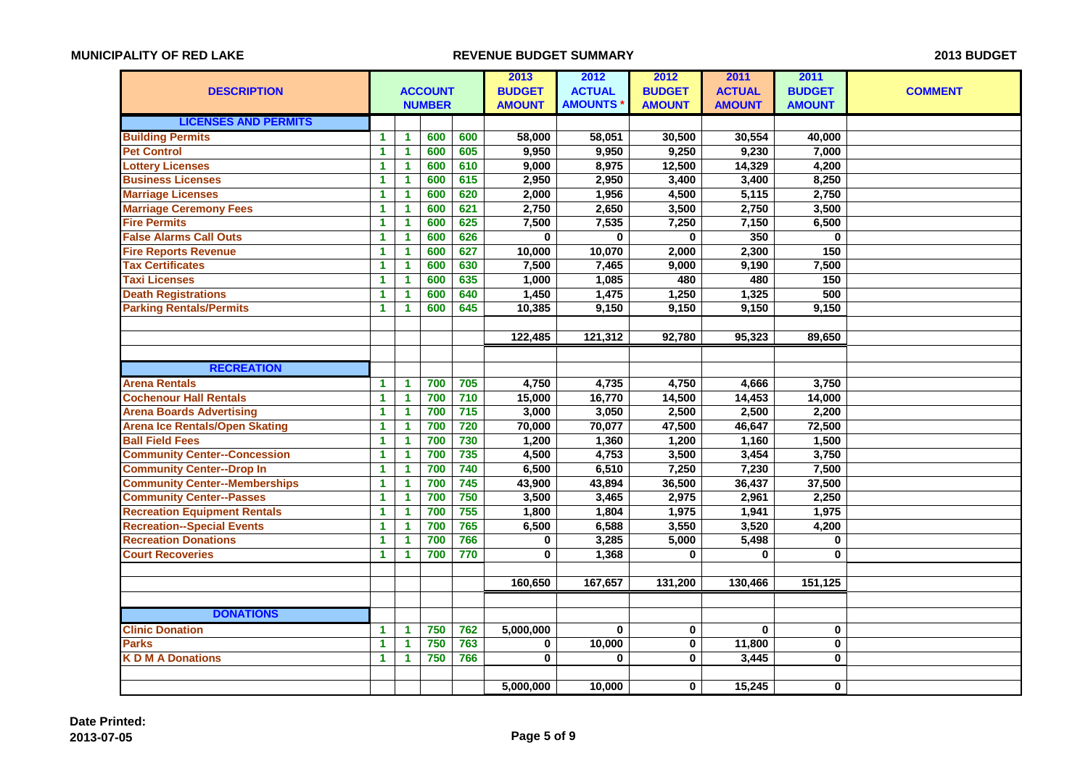|                                       |                      |                      |                |                  | 2013          | 2012           | 2012          | 2011          | 2011          |                |
|---------------------------------------|----------------------|----------------------|----------------|------------------|---------------|----------------|---------------|---------------|---------------|----------------|
| <b>DESCRIPTION</b>                    |                      |                      | <b>ACCOUNT</b> |                  | <b>BUDGET</b> | <b>ACTUAL</b>  | <b>BUDGET</b> | <b>ACTUAL</b> | <b>BUDGET</b> | <b>COMMENT</b> |
|                                       |                      |                      | <b>NUMBER</b>  |                  | <b>AMOUNT</b> | <b>AMOUNTS</b> | <b>AMOUNT</b> | <b>AMOUNT</b> | <b>AMOUNT</b> |                |
| <b>LICENSES AND PERMITS</b>           |                      |                      |                |                  |               |                |               |               |               |                |
| <b>Building Permits</b>               | 1                    | $\mathbf{1}$         | 600            | 600              | 58,000        | 58,051         | 30,500        | 30,554        | 40,000        |                |
| <b>Pet Control</b>                    | 1                    | $\mathbf{1}$         | 600            | 605              | 9,950         | 9,950          | 9,250         | 9,230         | 7,000         |                |
| <b>Lottery Licenses</b>               | 1                    | $\mathbf{1}$         | 600            | 610              | 9,000         | 8,975          | 12,500        | 14,329        | 4,200         |                |
| <b>Business Licenses</b>              | 1                    | 1                    | 600            | 615              | 2,950         | 2,950          | 3,400         | 3,400         | 8,250         |                |
| <b>Marriage Licenses</b>              | $\mathbf 1$          | $\blacktriangleleft$ | 600            | 620              | 2,000         | 1,956          | 4,500         | 5,115         | 2,750         |                |
| <b>Marriage Ceremony Fees</b>         | $\mathbf{1}$         | $\mathbf{1}$         | 600            | 621              | 2,750         | 2,650          | 3,500         | 2,750         | 3,500         |                |
| <b>Fire Permits</b>                   | 1                    | $\mathbf{1}$         | 600            | 625              | 7,500         | 7,535          | 7,250         | 7,150         | 6,500         |                |
| <b>False Alarms Call Outs</b>         | 1                    | $\blacktriangleleft$ | 600            | 626              | $\mathbf 0$   | $\bf{0}$       | $\bf{0}$      | 350           | $\bf{0}$      |                |
| <b>Fire Reports Revenue</b>           | $\mathbf{1}$         | $\blacktriangleleft$ | 600            | 627              | 10,000        | 10,070         | 2,000         | 2,300         | 150           |                |
| <b>Tax Certificates</b>               | $\mathbf 1$          | $\blacktriangleleft$ | 600            | 630              | 7,500         | 7,465          | 9,000         | 9,190         | 7,500         |                |
| <b>Taxi Licenses</b>                  | 1                    | 1                    | 600            | 635              | 1,000         | 1,085          | 480           | 480           | 150           |                |
| <b>Death Registrations</b>            | 1                    | 1                    | 600            | 640              | 1,450         | 1,475          | 1,250         | 1,325         | 500           |                |
| <b>Parking Rentals/Permits</b>        | $\mathbf{1}$         | $\blacktriangleleft$ | 600            | 645              | 10,385        | 9,150          | 9,150         | 9,150         | 9,150         |                |
|                                       |                      |                      |                |                  |               |                |               |               |               |                |
|                                       |                      |                      |                |                  | 122,485       | 121,312        | 92,780        | 95,323        | 89,650        |                |
|                                       |                      |                      |                |                  |               |                |               |               |               |                |
| <b>RECREATION</b>                     |                      |                      |                |                  |               |                |               |               |               |                |
| <b>Arena Rentals</b>                  | $\mathbf{1}$         | $\mathbf{1}$         | 700            | 705              | 4,750         | 4,735          | 4,750         | 4,666         | 3,750         |                |
| <b>Cochenour Hall Rentals</b>         | $\blacktriangleleft$ | $\blacktriangleleft$ | 700            | 710              | 15,000        | 16,770         | 14,500        | 14,453        | 14,000        |                |
| <b>Arena Boards Advertising</b>       | 1                    | $\blacktriangleleft$ | 700            | $\overline{715}$ | 3,000         | 3,050          | 2,500         | 2,500         | 2,200         |                |
| <b>Arena Ice Rentals/Open Skating</b> | $\mathbf{1}$         | $\blacktriangleleft$ | 700            | 720              | 70,000        | 70,077         | 47,500        | 46,647        | 72,500        |                |
| <b>Ball Field Fees</b>                | 1                    | $\mathbf{1}$         | 700            | 730              | 1,200         | 1,360          | 1,200         | 1,160         | 1,500         |                |
| <b>Community Center--Concession</b>   | $\mathbf{1}$         | $\blacktriangleleft$ | 700            | 735              | 4,500         | 4,753          | 3,500         | 3,454         | 3,750         |                |
| <b>Community Center--Drop In</b>      | $\blacktriangleleft$ | $\blacktriangleleft$ | 700            | 740              | 6,500         | 6,510          | 7,250         | 7,230         | 7,500         |                |
| <b>Community Center--Memberships</b>  | $\mathbf{1}$         | $\blacktriangleleft$ | 700            | 745              | 43,900        | 43,894         | 36,500        | 36,437        | 37,500        |                |
| <b>Community Center--Passes</b>       | 1                    | 1                    | 700            | 750              | 3,500         | 3,465          | 2,975         | 2,961         | 2,250         |                |
| <b>Recreation Equipment Rentals</b>   | $\mathbf{1}$         | $\mathbf{1}$         | 700            | 755              | 1,800         | 1,804          | 1,975         | 1,941         | 1,975         |                |
| <b>Recreation--Special Events</b>     | $\mathbf{1}$         | $\blacktriangleleft$ | 700            | 765              | 6,500         | 6,588          | 3,550         | 3,520         | 4,200         |                |
| <b>Recreation Donations</b>           | 1                    | 1                    | 700            | 766              | $\bf{0}$      | 3,285          | 5,000         | 5,498         | 0             |                |
| <b>Court Recoveries</b>               | $\blacktriangleleft$ | 1                    | 700            | 770              | $\bf{0}$      | 1,368          | $\bf{0}$      | 0             | $\mathbf 0$   |                |
|                                       |                      |                      |                |                  |               |                |               |               |               |                |
|                                       |                      |                      |                |                  | 160,650       | 167,657        | 131,200       | 130,466       | 151,125       |                |
|                                       |                      |                      |                |                  |               |                |               |               |               |                |
| <b>DONATIONS</b>                      |                      |                      |                |                  |               |                |               |               |               |                |
| <b>Clinic Donation</b>                | 1                    | $\blacktriangleleft$ | 750            | 762              | 5,000,000     | $\bf{0}$       | $\bf{0}$      | $\bf{0}$      | 0             |                |
| <b>Parks</b>                          | 1                    | $\blacktriangleleft$ | 750            | 763              | 0             | 10,000         | 0             | 11,800        | $\mathbf{0}$  |                |
| <b>KDMADonations</b>                  | $\mathbf{1}$         | $\blacktriangleleft$ | 750            | 766              | 0             | $\bf{0}$       | $\bf{0}$      | 3,445         | 0             |                |
|                                       |                      |                      |                |                  |               |                |               |               |               |                |
|                                       |                      |                      |                |                  | 5,000,000     | 10,000         | $\mathbf 0$   | 15,245        | 0             |                |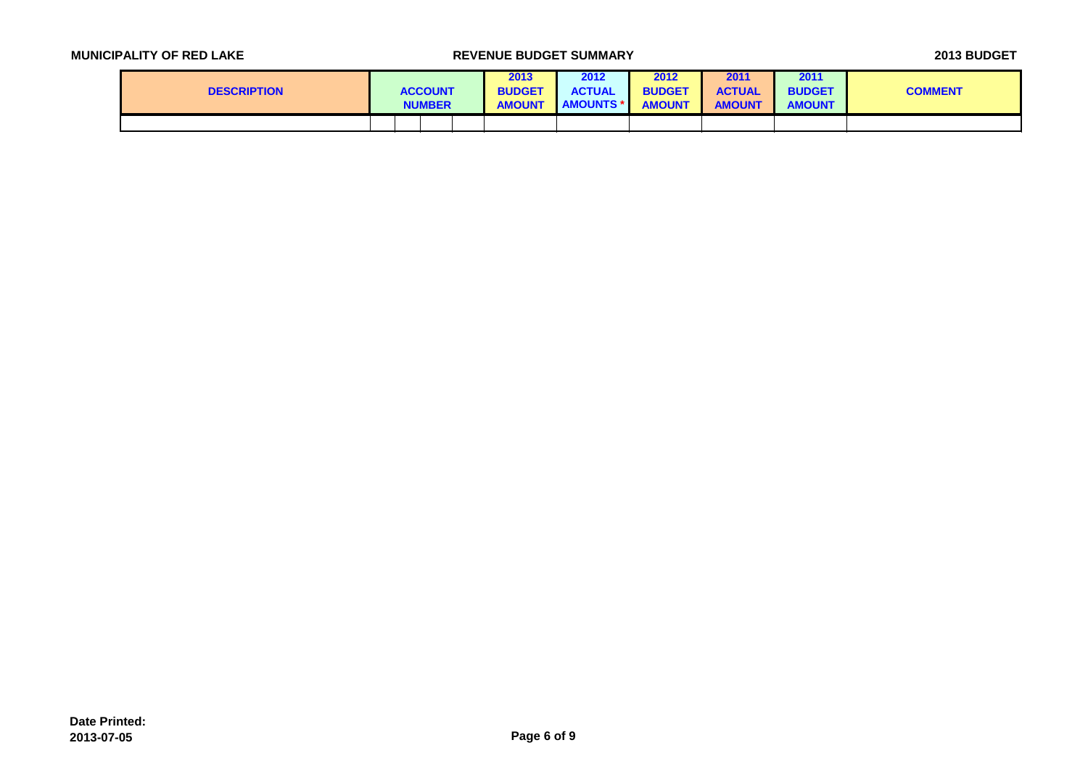| <b>MUNICIPALITY OF RED LAKE</b> |  |  |  |  |  |  |
|---------------------------------|--|--|--|--|--|--|
|---------------------------------|--|--|--|--|--|--|

## **MUNICIPALITY OF REVENUE BUDGET SUMMARY REVENUE BUDGET**

| <b>DESCRIPTION</b> |  | <b>ACCOUNT</b><br><b>NUMBER</b> | 2013<br><b>BUDGET</b><br><b>AMOUNT</b> | 2012<br><b>ACTUAL</b><br><b>AMOUNTS</b> | 2012<br><b>BUDGET</b><br><b>AMOUNT</b> | 2011<br><b>ACTUAL</b><br><b>AMOUNT</b> | 2011<br><b>BUDGET</b><br><b>AMOUNT</b> | <b>COMMENT</b> |
|--------------------|--|---------------------------------|----------------------------------------|-----------------------------------------|----------------------------------------|----------------------------------------|----------------------------------------|----------------|
|                    |  |                                 |                                        |                                         |                                        |                                        |                                        |                |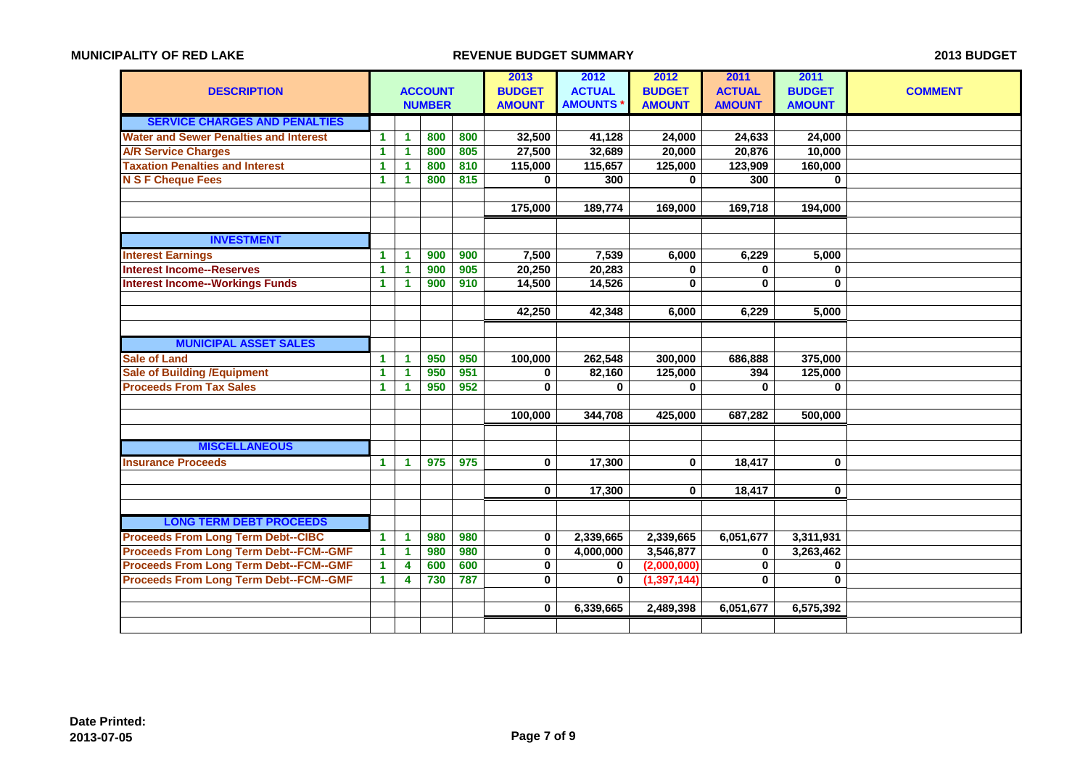| <b>DESCRIPTION</b>                            | <b>ACCOUNT</b>       |                      | 2013<br><b>BUDGET</b> | 2012<br><b>ACTUAL</b> | 2012<br><b>BUDGET</b> | 2011<br><b>ACTUAL</b> | 2011<br><b>BUDGET</b> | <b>COMMENT</b> |               |  |
|-----------------------------------------------|----------------------|----------------------|-----------------------|-----------------------|-----------------------|-----------------------|-----------------------|----------------|---------------|--|
|                                               |                      |                      | <b>NUMBER</b>         |                       | <b>AMOUNT</b>         | <b>AMOUNTS</b>        | <b>AMOUNT</b>         | <b>AMOUNT</b>  | <b>AMOUNT</b> |  |
| <b>SERVICE CHARGES AND PENALTIES</b>          |                      |                      |                       |                       |                       |                       |                       |                |               |  |
| <b>Water and Sewer Penalties and Interest</b> | $\mathbf{1}$         | $\blacktriangleleft$ | 800                   | 800                   | 32,500                | 41,128                | 24,000                | 24,633         | 24,000        |  |
| <b>A/R Service Charges</b>                    | 1                    | $\blacktriangleleft$ | 800                   | 805                   | 27,500                | 32,689                | 20,000                | 20,876         | 10,000        |  |
| <b>Taxation Penalties and Interest</b>        | 1                    | $\mathbf{1}$         | 800                   | 810                   | 115,000               | 115,657               | 125,000               | 123,909        | 160,000       |  |
| <b>N S F Cheque Fees</b>                      | $\mathbf{1}$         | $\blacktriangleleft$ | 800                   | 815                   | $\mathbf{0}$          | 300                   | $\bf{0}$              | 300            | $\bf{0}$      |  |
|                                               |                      |                      |                       |                       |                       |                       |                       |                |               |  |
|                                               |                      |                      |                       |                       | 175,000               | 189,774               | 169,000               | 169,718        | 194,000       |  |
|                                               |                      |                      |                       |                       |                       |                       |                       |                |               |  |
| <b>INVESTMENT</b>                             |                      |                      |                       |                       |                       |                       |                       |                |               |  |
| <b>Interest Earnings</b>                      | $\mathbf{1}$         | $\blacktriangleleft$ | 900                   | 900                   | 7,500                 | 7,539                 | 6,000                 | 6,229          | 5,000         |  |
| <b>Interest Income--Reserves</b>              | 1                    | $\blacktriangleleft$ | 900                   | 905                   | 20,250                | 20,283                | 0                     | $\bf{0}$       | $\mathbf 0$   |  |
| <b>Interest Income--Workings Funds</b>        | $\blacktriangleleft$ | 1                    | 900                   | 910                   | 14,500                | 14,526                | $\bf{0}$              | $\bf{0}$       | 0             |  |
|                                               |                      |                      |                       |                       |                       |                       |                       |                |               |  |
|                                               |                      |                      |                       |                       | 42,250                | 42,348                | 6,000                 | 6,229          | 5,000         |  |
|                                               |                      |                      |                       |                       |                       |                       |                       |                |               |  |
| <b>MUNICIPAL ASSET SALES</b>                  |                      |                      |                       |                       |                       |                       |                       |                |               |  |
| <b>Sale of Land</b>                           | $\blacktriangleleft$ | $\blacktriangleleft$ | 950                   | 950                   | 100,000               | 262,548               | 300,000               | 686,888        | 375,000       |  |
| <b>Sale of Building / Equipment</b>           | $\blacktriangleleft$ | $\blacktriangleleft$ | 950                   | 951                   | 0                     | 82,160                | 125,000               | 394            | 125,000       |  |
| <b>Proceeds From Tax Sales</b>                | $\blacktriangleleft$ | 1                    | 950                   | 952                   | $\mathbf{0}$          | $\bf{0}$              | $\bf{0}$              | $\bf{0}$       | 0             |  |
|                                               |                      |                      |                       |                       |                       |                       |                       |                |               |  |
|                                               |                      |                      |                       |                       | 100,000               | 344,708               | 425,000               | 687,282        | 500,000       |  |
|                                               |                      |                      |                       |                       |                       |                       |                       |                |               |  |
| <b>MISCELLANEOUS</b>                          |                      |                      |                       |                       |                       |                       |                       |                |               |  |
| <b>Insurance Proceeds</b>                     | $\blacktriangleleft$ | $\blacktriangleleft$ | 975                   | 975                   | $\mathbf 0$           | 17,300                | $\bf{0}$              | 18,417         | 0             |  |
|                                               |                      |                      |                       |                       |                       |                       |                       |                |               |  |
|                                               |                      |                      |                       |                       | $\mathbf 0$           | 17,300                | $\bf{0}$              | 18,417         | $\mathbf 0$   |  |
|                                               |                      |                      |                       |                       |                       |                       |                       |                |               |  |
| <b>LONG TERM DEBT PROCEEDS</b>                |                      |                      |                       |                       |                       |                       |                       |                |               |  |
| <b>Proceeds From Long Term Debt--CIBC</b>     | $\blacktriangleleft$ | $\blacktriangleleft$ | 980                   | 980                   | 0                     | 2,339,665             | 2,339,665             | 6,051,677      | 3,311,931     |  |
| <b>Proceeds From Long Term Debt--FCM--GMF</b> | $\blacktriangleleft$ | $\blacktriangleleft$ | 980                   | 980                   | $\mathbf 0$           | 4,000,000             | 3,546,877             | $\bf{0}$       | 3,263,462     |  |
| <b>Proceeds From Long Term Debt--FCM--GMF</b> | 1                    | 4                    | 600                   | 600                   | 0                     | $\mathbf 0$           | (2,000,000)           | 0              | 0             |  |
| <b>Proceeds From Long Term Debt--FCM--GMF</b> | $\mathbf{1}$         | 4                    | 730                   | 787                   | $\mathbf{0}$          | $\bf{0}$              | (1, 397, 144)         | $\bf{0}$       | $\bf{0}$      |  |
|                                               |                      |                      |                       |                       |                       |                       |                       |                |               |  |
|                                               |                      |                      |                       |                       | $\mathbf 0$           | 6,339,665             | 2,489,398             | 6,051,677      | 6,575,392     |  |
|                                               |                      |                      |                       |                       |                       |                       |                       |                |               |  |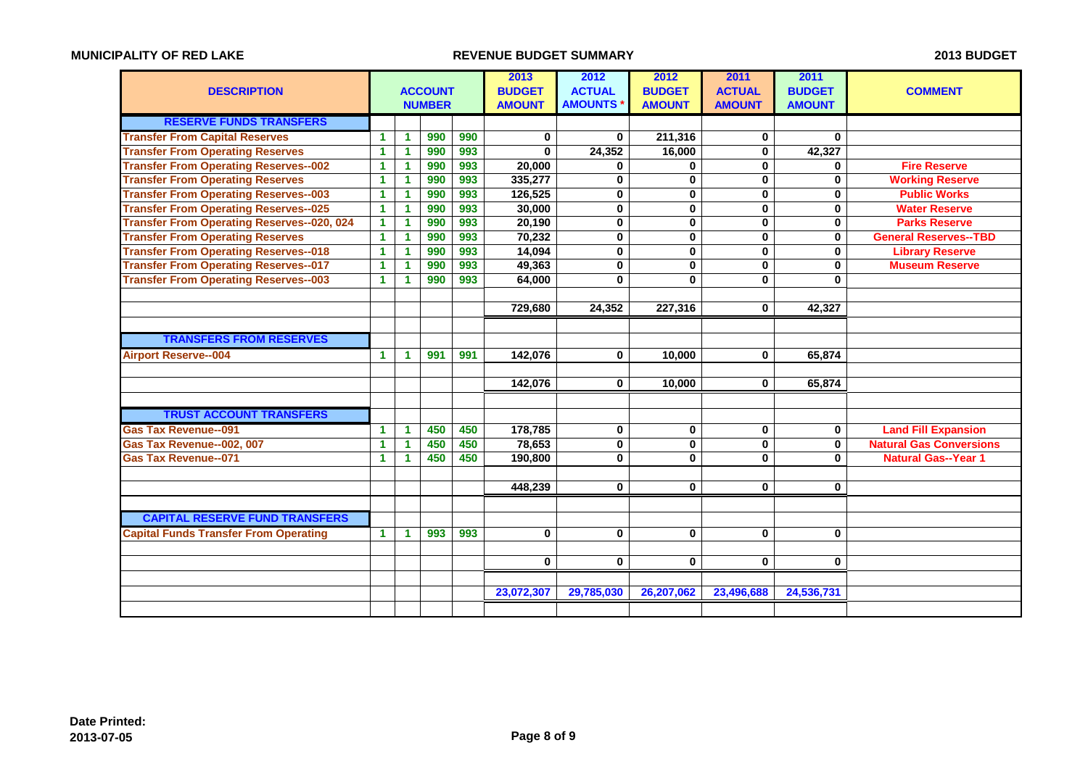|                                                   |                      |                      |                |     | 2013          | 2012           | 2012                 | 2011          | 2011          |                                |
|---------------------------------------------------|----------------------|----------------------|----------------|-----|---------------|----------------|----------------------|---------------|---------------|--------------------------------|
| <b>DESCRIPTION</b>                                |                      |                      | <b>ACCOUNT</b> |     | <b>BUDGET</b> | <b>ACTUAL</b>  | <b>BUDGET</b>        | <b>ACTUAL</b> | <b>BUDGET</b> | <b>COMMENT</b>                 |
|                                                   |                      |                      | <b>NUMBER</b>  |     | <b>AMOUNT</b> | <b>AMOUNTS</b> | <b>AMOUNT</b>        | <b>AMOUNT</b> | <b>AMOUNT</b> |                                |
| <b>RESERVE FUNDS TRANSFERS</b>                    |                      |                      |                |     |               |                |                      |               |               |                                |
| <b>Transfer From Capital Reserves</b>             | 1                    | 1                    | 990            | 990 | 0             | $\bf{0}$       | 211,316              | 0             | $\bf{0}$      |                                |
| <b>Transfer From Operating Reserves</b>           | 1                    | $\blacktriangleleft$ | 990            | 993 | $\bf{0}$      | 24,352         | 16,000               | $\bf{0}$      | 42,327        |                                |
| <b>Transfer From Operating Reserves--002</b>      | 1                    | 1                    | 990            | 993 | 20,000        | 0              | 0                    | $\mathbf 0$   | 0             | <b>Fire Reserve</b>            |
| <b>Transfer From Operating Reserves</b>           | 1                    | $\blacktriangleleft$ | 990            | 993 | 335,277       | $\mathbf 0$    | $\bf{0}$             | $\bf{0}$      | $\bf{0}$      | <b>Working Reserve</b>         |
| <b>Transfer From Operating Reserves--003</b>      | 1                    | 1                    | 990            | 993 | 126,525       | $\bf{0}$       | $\bf{0}$             | $\mathbf 0$   | $\bf{0}$      | <b>Public Works</b>            |
| <b>Transfer From Operating Reserves--025</b>      | $\blacktriangleleft$ | 1                    | 990            | 993 | 30,000        | $\mathbf 0$    | $\bf{0}$             | $\bf{0}$      | $\mathbf 0$   | <b>Water Reserve</b>           |
| <b>Transfer From Operating Reserves--020, 024</b> | 1                    | $\blacktriangleleft$ | 990            | 993 | 20,190        | $\bf{0}$       | $\bf{0}$             | $\bf{0}$      | $\bf{0}$      | <b>Parks Reserve</b>           |
| <b>Transfer From Operating Reserves</b>           | 1                    | $\blacktriangleleft$ | 990            | 993 | 70,232        | $\mathbf 0$    | $\bf{0}$             | $\bf{0}$      | $\mathbf 0$   | <b>General Reserves--TBD</b>   |
| <b>Transfer From Operating Reserves--018</b>      | $\blacktriangleleft$ | $\overline{1}$       | 990            | 993 | 14,094        | $\bf{0}$       | $\bf{0}$             | $\bf{0}$      | $\bf{0}$      | <b>Library Reserve</b>         |
| <b>Transfer From Operating Reserves--017</b>      | $\mathbf{1}$         | $\blacktriangleleft$ | 990            | 993 | 49,363        | $\bf{0}$       | $\bf{0}$             | $\bf{0}$      | $\bf{0}$      | <b>Museum Reserve</b>          |
| <b>Transfer From Operating Reserves--003</b>      | 1                    | 1                    | 990            | 993 | 64,000        | $\mathbf{0}$   | $\bf{0}$             | $\bf{0}$      | $\bf{0}$      |                                |
|                                                   |                      |                      |                |     |               |                |                      |               |               |                                |
|                                                   |                      |                      |                |     | 729,680       | 24,352         | $\overline{227,316}$ | $\bf{0}$      | 42,327        |                                |
|                                                   |                      |                      |                |     |               |                |                      |               |               |                                |
| <b>TRANSFERS FROM RESERVES</b>                    |                      |                      |                |     |               |                |                      |               |               |                                |
| <b>Airport Reserve--004</b>                       | 1                    | $\blacktriangleleft$ | 991            | 991 | 142,076       | $\bf{0}$       | 10,000               | $\bf{0}$      | 65,874        |                                |
|                                                   |                      |                      |                |     |               |                |                      |               |               |                                |
|                                                   |                      |                      |                |     | 142,076       | $\bf{0}$       | 10,000               | $\bf{0}$      | 65,874        |                                |
|                                                   |                      |                      |                |     |               |                |                      |               |               |                                |
| <b>TRUST ACCOUNT TRANSFERS</b>                    |                      |                      |                |     |               |                |                      |               |               |                                |
| <b>Gas Tax Revenue--091</b>                       | 1                    | $\blacktriangleleft$ | 450            | 450 | 178,785       | $\bf{0}$       | $\bf{0}$             | $\bf{0}$      | 0             | <b>Land Fill Expansion</b>     |
| Gas Tax Revenue--002, 007                         | 1                    | $\blacktriangleleft$ | 450            | 450 | 78,653        | $\mathbf 0$    | $\mathbf 0$          | $\bf{0}$      | $\mathbf 0$   | <b>Natural Gas Conversions</b> |
| <b>Gas Tax Revenue--071</b>                       | 1                    | $\blacktriangleleft$ | 450            | 450 | 190,800       | $\bf{0}$       | $\bf{0}$             | 0             | $\bf{0}$      | <b>Natural Gas--Year 1</b>     |
|                                                   |                      |                      |                |     |               |                |                      |               |               |                                |
|                                                   |                      |                      |                |     | 448,239       | $\bf{0}$       | $\bf{0}$             | $\bf{0}$      | $\bf{0}$      |                                |
|                                                   |                      |                      |                |     |               |                |                      |               |               |                                |
| <b>CAPITAL RESERVE FUND TRANSFERS</b>             |                      |                      |                |     |               |                |                      |               |               |                                |
| <b>Capital Funds Transfer From Operating</b>      | 1                    | 1                    | 993            | 993 | $\mathbf 0$   | $\mathbf 0$    | $\bf{0}$             | $\bf{0}$      | $\bf{0}$      |                                |
|                                                   |                      |                      |                |     |               |                |                      |               |               |                                |
|                                                   |                      |                      |                |     | 0             | $\bf{0}$       | $\bf{0}$             | $\bf{0}$      | 0             |                                |
|                                                   |                      |                      |                |     |               |                |                      |               |               |                                |
|                                                   |                      |                      |                |     | 23,072,307    | 29,785,030     | 26,207,062           | 23,496,688    | 24,536,731    |                                |
|                                                   |                      |                      |                |     |               |                |                      |               |               |                                |
|                                                   |                      |                      |                |     |               |                |                      |               |               |                                |